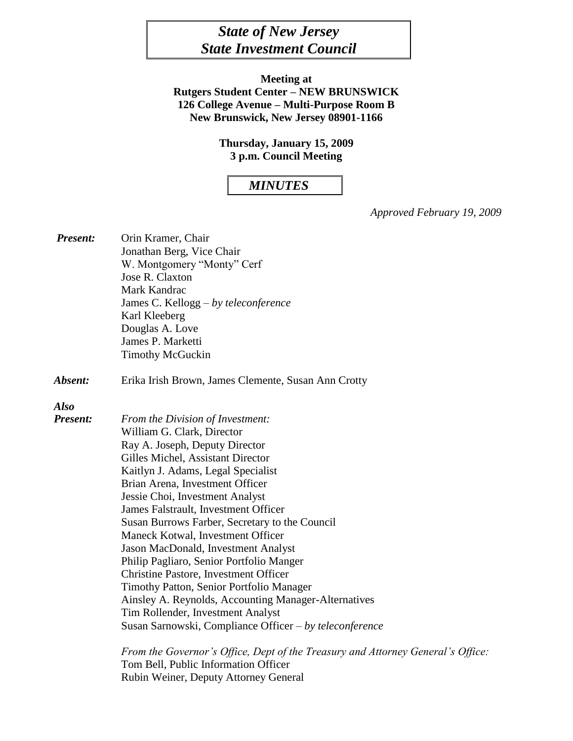# *State of New Jersey State Investment Council*

**Meeting at Rutgers Student Center – NEW BRUNSWICK 126 College Avenue – Multi-Purpose Room B New Brunswick, New Jersey 08901-1166**

> **Thursday, January 15, 2009 3 p.m. Council Meeting**

## *MINUTES*

*Approved February 19, 2009*

| <b>Present:</b> | Orin Kramer, Chair<br>Jonathan Berg, Vice Chair                                 |  |  |
|-----------------|---------------------------------------------------------------------------------|--|--|
|                 | W. Montgomery "Monty" Cerf                                                      |  |  |
|                 | Jose R. Claxton                                                                 |  |  |
|                 | Mark Kandrac                                                                    |  |  |
|                 | James C. Kellogg – by teleconference                                            |  |  |
|                 | Karl Kleeberg                                                                   |  |  |
|                 | Douglas A. Love                                                                 |  |  |
|                 | James P. Marketti                                                               |  |  |
|                 | <b>Timothy McGuckin</b>                                                         |  |  |
| Absent:         | Erika Irish Brown, James Clemente, Susan Ann Crotty                             |  |  |
| <b>Also</b>     |                                                                                 |  |  |
| <b>Present:</b> | From the Division of Investment:                                                |  |  |
|                 | William G. Clark, Director                                                      |  |  |
|                 | Ray A. Joseph, Deputy Director                                                  |  |  |
|                 | Gilles Michel, Assistant Director                                               |  |  |
|                 | Kaitlyn J. Adams, Legal Specialist                                              |  |  |
|                 | Brian Arena, Investment Officer                                                 |  |  |
|                 | Jessie Choi, Investment Analyst                                                 |  |  |
|                 | James Falstrault, Investment Officer                                            |  |  |
|                 | Susan Burrows Farber, Secretary to the Council                                  |  |  |
|                 | Maneck Kotwal, Investment Officer                                               |  |  |
|                 | Jason MacDonald, Investment Analyst                                             |  |  |
|                 | Philip Pagliaro, Senior Portfolio Manger                                        |  |  |
|                 | <b>Christine Pastore, Investment Officer</b>                                    |  |  |
|                 | Timothy Patton, Senior Portfolio Manager                                        |  |  |
|                 | Ainsley A. Reynolds, Accounting Manager-Alternatives                            |  |  |
|                 | Tim Rollender, Investment Analyst                                               |  |  |
|                 | Susan Sarnowski, Compliance Officer – by teleconference                         |  |  |
|                 | From the Governor's Office, Dept of the Treasury and Attorney General's Office: |  |  |
|                 | Tom Bell, Public Information Officer                                            |  |  |

Rubin Weiner, Deputy Attorney General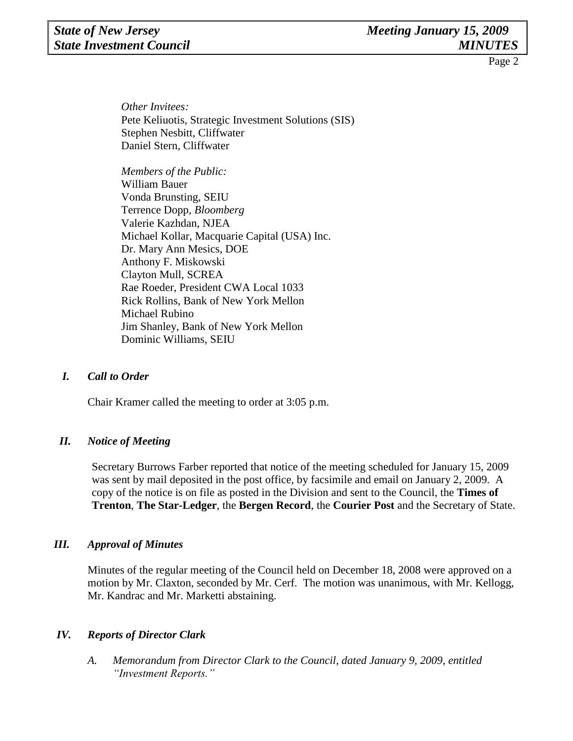## *State of New Jersey Meeting January 15, 2009* **State Investment Council MINUTES**

Page 2

*Other Invitees:* Pete Keliuotis, Strategic Investment Solutions (SIS) Stephen Nesbitt, Cliffwater Daniel Stern, Cliffwater

*Members of the Public:*  William Bauer Vonda Brunsting, SEIU Terrence Dopp*, Bloomberg* Valerie Kazhdan, NJEA Michael Kollar, Macquarie Capital (USA) Inc. Dr. Mary Ann Mesics, DOE Anthony F. Miskowski Clayton Mull, SCREA Rae Roeder, President CWA Local 1033 Rick Rollins, Bank of New York Mellon Michael Rubino Jim Shanley, Bank of New York Mellon Dominic Williams, SEIU

### *I. Call to Order*

Chair Kramer called the meeting to order at 3:05 p.m.

### *II. Notice of Meeting*

Secretary Burrows Farber reported that notice of the meeting scheduled for January 15, 2009 was sent by mail deposited in the post office, by facsimile and email on January 2, 2009. A copy of the notice is on file as posted in the Division and sent to the Council, the **Times of Trenton**, **The Star-Ledger**, the **Bergen Record**, the **Courier Post** and the Secretary of State.

### *III. Approval of Minutes*

Minutes of the regular meeting of the Council held on December 18, 2008 were approved on a motion by Mr. Claxton, seconded by Mr. Cerf. The motion was unanimous, with Mr. Kellogg, Mr. Kandrac and Mr. Marketti abstaining.

### *IV. Reports of Director Clark*

*A. Memorandum from Director Clark to the Council, dated January 9, 2009, entitled "Investment Reports."*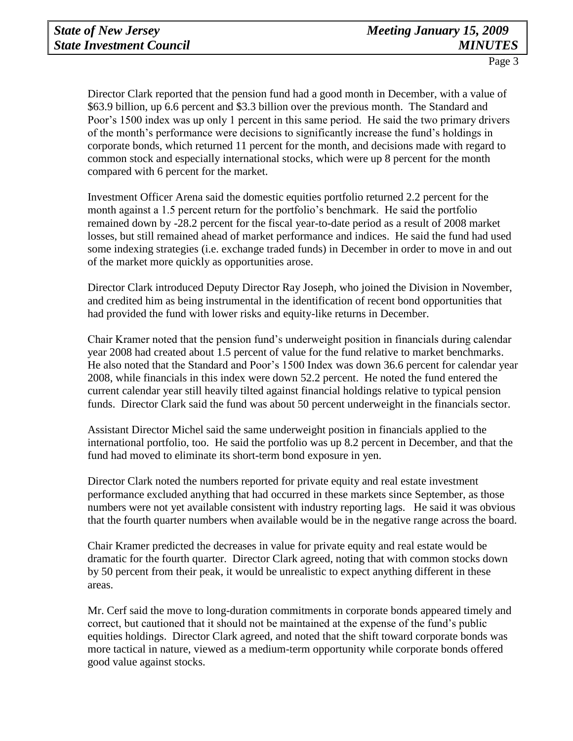Director Clark reported that the pension fund had a good month in December, with a value of \$63.9 billion, up 6.6 percent and \$3.3 billion over the previous month. The Standard and Poor's 1500 index was up only 1 percent in this same period. He said the two primary drivers of the month's performance were decisions to significantly increase the fund's holdings in corporate bonds, which returned 11 percent for the month, and decisions made with regard to common stock and especially international stocks, which were up 8 percent for the month compared with 6 percent for the market.

Investment Officer Arena said the domestic equities portfolio returned 2.2 percent for the month against a 1.5 percent return for the portfolio's benchmark. He said the portfolio remained down by -28.2 percent for the fiscal year-to-date period as a result of 2008 market losses, but still remained ahead of market performance and indices. He said the fund had used some indexing strategies (i.e. exchange traded funds) in December in order to move in and out of the market more quickly as opportunities arose.

Director Clark introduced Deputy Director Ray Joseph, who joined the Division in November, and credited him as being instrumental in the identification of recent bond opportunities that had provided the fund with lower risks and equity-like returns in December.

Chair Kramer noted that the pension fund's underweight position in financials during calendar year 2008 had created about 1.5 percent of value for the fund relative to market benchmarks. He also noted that the Standard and Poor's 1500 Index was down 36.6 percent for calendar year 2008, while financials in this index were down 52.2 percent. He noted the fund entered the current calendar year still heavily tilted against financial holdings relative to typical pension funds. Director Clark said the fund was about 50 percent underweight in the financials sector.

Assistant Director Michel said the same underweight position in financials applied to the international portfolio, too. He said the portfolio was up 8.2 percent in December, and that the fund had moved to eliminate its short-term bond exposure in yen.

Director Clark noted the numbers reported for private equity and real estate investment performance excluded anything that had occurred in these markets since September, as those numbers were not yet available consistent with industry reporting lags. He said it was obvious that the fourth quarter numbers when available would be in the negative range across the board.

Chair Kramer predicted the decreases in value for private equity and real estate would be dramatic for the fourth quarter. Director Clark agreed, noting that with common stocks down by 50 percent from their peak, it would be unrealistic to expect anything different in these areas.

Mr. Cerf said the move to long-duration commitments in corporate bonds appeared timely and correct, but cautioned that it should not be maintained at the expense of the fund's public equities holdings. Director Clark agreed, and noted that the shift toward corporate bonds was more tactical in nature, viewed as a medium-term opportunity while corporate bonds offered good value against stocks.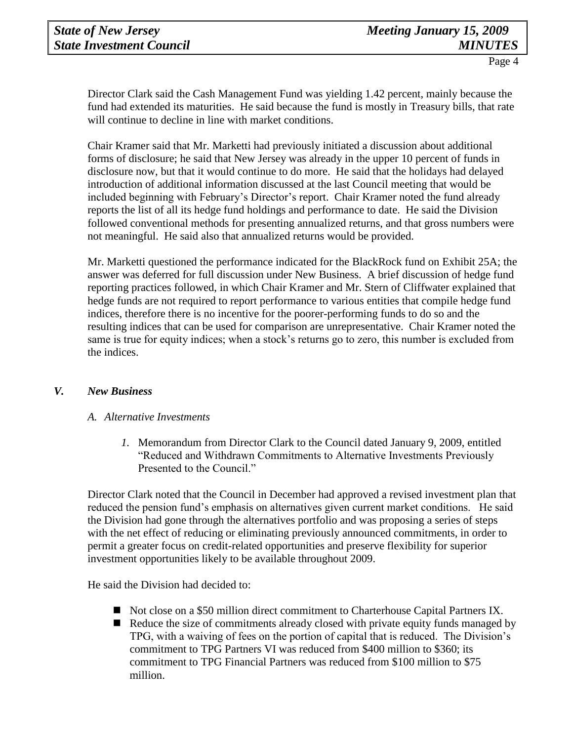Director Clark said the Cash Management Fund was yielding 1.42 percent, mainly because the fund had extended its maturities. He said because the fund is mostly in Treasury bills, that rate will continue to decline in line with market conditions.

Chair Kramer said that Mr. Marketti had previously initiated a discussion about additional forms of disclosure; he said that New Jersey was already in the upper 10 percent of funds in disclosure now, but that it would continue to do more. He said that the holidays had delayed introduction of additional information discussed at the last Council meeting that would be included beginning with February's Director's report. Chair Kramer noted the fund already reports the list of all its hedge fund holdings and performance to date. He said the Division followed conventional methods for presenting annualized returns, and that gross numbers were not meaningful. He said also that annualized returns would be provided.

Mr. Marketti questioned the performance indicated for the BlackRock fund on Exhibit 25A; the answer was deferred for full discussion under New Business. A brief discussion of hedge fund reporting practices followed, in which Chair Kramer and Mr. Stern of Cliffwater explained that hedge funds are not required to report performance to various entities that compile hedge fund indices, therefore there is no incentive for the poorer-performing funds to do so and the resulting indices that can be used for comparison are unrepresentative. Chair Kramer noted the same is true for equity indices; when a stock's returns go to zero, this number is excluded from the indices.

### *V. New Business*

#### *A. Alternative Investments*

*1.* Memorandum from Director Clark to the Council dated January 9, 2009, entitled "Reduced and Withdrawn Commitments to Alternative Investments Previously Presented to the Council."

Director Clark noted that the Council in December had approved a revised investment plan that reduced the pension fund's emphasis on alternatives given current market conditions. He said the Division had gone through the alternatives portfolio and was proposing a series of steps with the net effect of reducing or eliminating previously announced commitments, in order to permit a greater focus on credit-related opportunities and preserve flexibility for superior investment opportunities likely to be available throughout 2009.

He said the Division had decided to:

- Not close on a \$50 million direct commitment to Charterhouse Capital Partners IX.
- Reduce the size of commitments already closed with private equity funds managed by TPG, with a waiving of fees on the portion of capital that is reduced. The Division's commitment to TPG Partners VI was reduced from \$400 million to \$360; its commitment to TPG Financial Partners was reduced from \$100 million to \$75 million.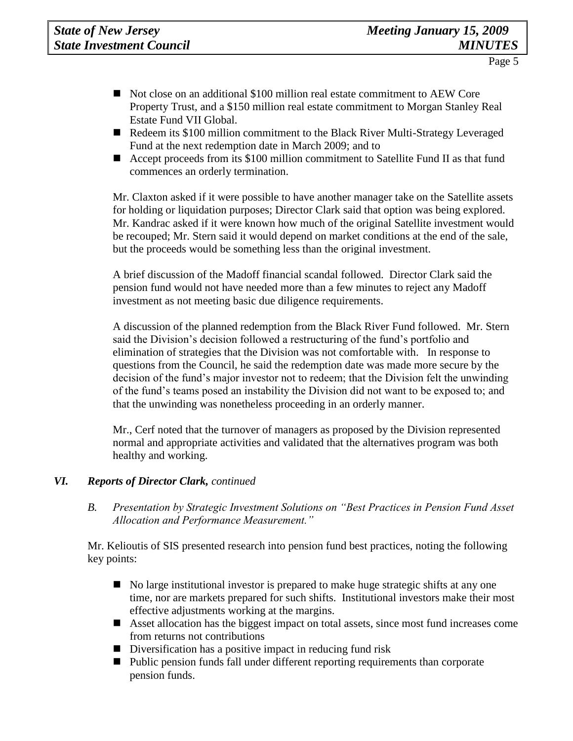- Not close on an additional \$100 million real estate commitment to AEW Core Property Trust, and a \$150 million real estate commitment to Morgan Stanley Real Estate Fund VII Global.
- Redeem its \$100 million commitment to the Black River Multi-Strategy Leveraged Fund at the next redemption date in March 2009; and to
- Accept proceeds from its \$100 million commitment to Satellite Fund II as that fund commences an orderly termination.

Mr. Claxton asked if it were possible to have another manager take on the Satellite assets for holding or liquidation purposes; Director Clark said that option was being explored. Mr. Kandrac asked if it were known how much of the original Satellite investment would be recouped; Mr. Stern said it would depend on market conditions at the end of the sale, but the proceeds would be something less than the original investment.

A brief discussion of the Madoff financial scandal followed. Director Clark said the pension fund would not have needed more than a few minutes to reject any Madoff investment as not meeting basic due diligence requirements.

A discussion of the planned redemption from the Black River Fund followed. Mr. Stern said the Division's decision followed a restructuring of the fund's portfolio and elimination of strategies that the Division was not comfortable with. In response to questions from the Council, he said the redemption date was made more secure by the decision of the fund's major investor not to redeem; that the Division felt the unwinding of the fund's teams posed an instability the Division did not want to be exposed to; and that the unwinding was nonetheless proceeding in an orderly manner.

Mr., Cerf noted that the turnover of managers as proposed by the Division represented normal and appropriate activities and validated that the alternatives program was both healthy and working.

### *VI. Reports of Director Clark, continued*

*B. Presentation by Strategic Investment Solutions on "Best Practices in Pension Fund Asset Allocation and Performance Measurement."*

Mr. Kelioutis of SIS presented research into pension fund best practices, noting the following key points:

- No large institutional investor is prepared to make huge strategic shifts at any one time, nor are markets prepared for such shifts. Institutional investors make their most effective adjustments working at the margins.
- Asset allocation has the biggest impact on total assets, since most fund increases come from returns not contributions
- Diversification has a positive impact in reducing fund risk
- Public pension funds fall under different reporting requirements than corporate pension funds.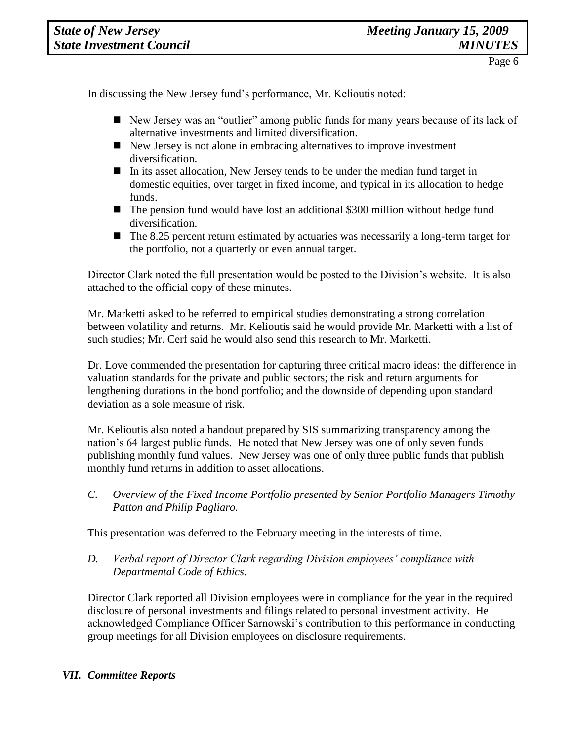In discussing the New Jersey fund's performance, Mr. Kelioutis noted:

- New Jersey was an "outlier" among public funds for many years because of its lack of alternative investments and limited diversification.
- New Jersey is not alone in embracing alternatives to improve investment diversification.
- In its asset allocation, New Jersey tends to be under the median fund target in domestic equities, over target in fixed income, and typical in its allocation to hedge funds.
- The pension fund would have lost an additional \$300 million without hedge fund diversification.
- $\blacksquare$  The 8.25 percent return estimated by actuaries was necessarily a long-term target for the portfolio, not a quarterly or even annual target.

Director Clark noted the full presentation would be posted to the Division's website. It is also attached to the official copy of these minutes.

Mr. Marketti asked to be referred to empirical studies demonstrating a strong correlation between volatility and returns. Mr. Kelioutis said he would provide Mr. Marketti with a list of such studies; Mr. Cerf said he would also send this research to Mr. Marketti.

Dr. Love commended the presentation for capturing three critical macro ideas: the difference in valuation standards for the private and public sectors; the risk and return arguments for lengthening durations in the bond portfolio; and the downside of depending upon standard deviation as a sole measure of risk.

Mr. Kelioutis also noted a handout prepared by SIS summarizing transparency among the nation's 64 largest public funds. He noted that New Jersey was one of only seven funds publishing monthly fund values. New Jersey was one of only three public funds that publish monthly fund returns in addition to asset allocations.

*C. Overview of the Fixed Income Portfolio presented by Senior Portfolio Managers Timothy Patton and Philip Pagliaro.*

This presentation was deferred to the February meeting in the interests of time.

*D. Verbal report of Director Clark regarding Division employees' compliance with Departmental Code of Ethics.*

Director Clark reported all Division employees were in compliance for the year in the required disclosure of personal investments and filings related to personal investment activity. He acknowledged Compliance Officer Sarnowski's contribution to this performance in conducting group meetings for all Division employees on disclosure requirements.

## *VII. Committee Reports*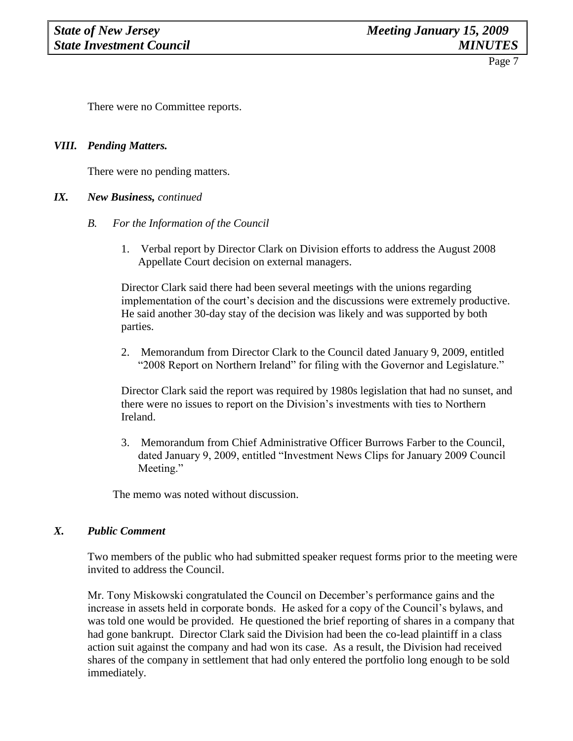Page 7

There were no Committee reports.

#### *VIII. Pending Matters.*

There were no pending matters.

#### *IX. New Business, continued*

- *B. For the Information of the Council*
	- 1. Verbal report by Director Clark on Division efforts to address the August 2008 Appellate Court decision on external managers.

Director Clark said there had been several meetings with the unions regarding implementation of the court's decision and the discussions were extremely productive. He said another 30-day stay of the decision was likely and was supported by both parties.

2. Memorandum from Director Clark to the Council dated January 9, 2009, entitled "2008 Report on Northern Ireland" for filing with the Governor and Legislature."

Director Clark said the report was required by 1980s legislation that had no sunset, and there were no issues to report on the Division's investments with ties to Northern Ireland.

3. Memorandum from Chief Administrative Officer Burrows Farber to the Council, dated January 9, 2009, entitled "Investment News Clips for January 2009 Council Meeting."

The memo was noted without discussion.

#### *X. Public Comment*

Two members of the public who had submitted speaker request forms prior to the meeting were invited to address the Council.

Mr. Tony Miskowski congratulated the Council on December's performance gains and the increase in assets held in corporate bonds. He asked for a copy of the Council's bylaws, and was told one would be provided. He questioned the brief reporting of shares in a company that had gone bankrupt. Director Clark said the Division had been the co-lead plaintiff in a class action suit against the company and had won its case. As a result, the Division had received shares of the company in settlement that had only entered the portfolio long enough to be sold immediately.